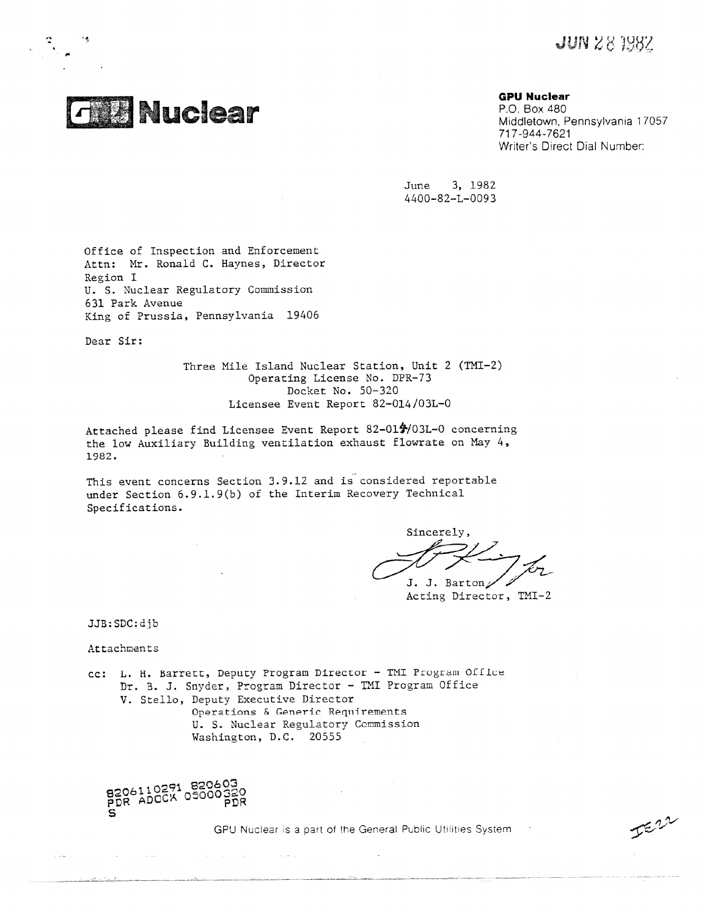**JUN 28 1982** 

 $I^{\epsilon, \nu}$ 



**GPU Nuclear**

P.O. Box 480 Middletown, Pennsylvania 17057 717-944-7621 Writer's Direct Dial Number:

June 3, 1982 4400-82-L-0093

Office of Inspection and Enforcement Attn: Mr. Ronald C. Haynes, Director Region I U. S. Nuclear Regulatory Commission 631 Park Avenue King of Prussia, Pennsylvania 19406

Dear Sir:

Three Mile Island Nuclear Station, Unit 2 (TMI-2) Operating License No. DPR-73 Docket No. 50-320 Licensee Event Report 82-014/03L-0

Attached please find Licensee Event Report 82-01#/03L-0 concerning the low Auxiliary Building ventilation exhaust flowrate on May 4, 1982.

This event concerns Section 3.9.12 and is considered reportable under Section 6.9.1.9(b) of the Interim Recovery Technical Specifications.

Sincerely, J. J. Bartons

Acting Director, TMI-2

JJB:SDC:djb

Attachments

cc: L. H. Barrett, Deputy Program Director - TMI Program Office Dr. B. J. Snyder, Program Director - TMI Program Office V. Stello, Deputy Executive Director Operations & Generic Requirements U. S. Nuclear Regulatory Commission Washington, D.C. 20555

الترابط والأراد



 $\sim$   $\sim$ 

 $\mu = 1200$  ,  $\mu = 1200$ 

**College** 

GPU Nuclear is a part of the General Public Utilities System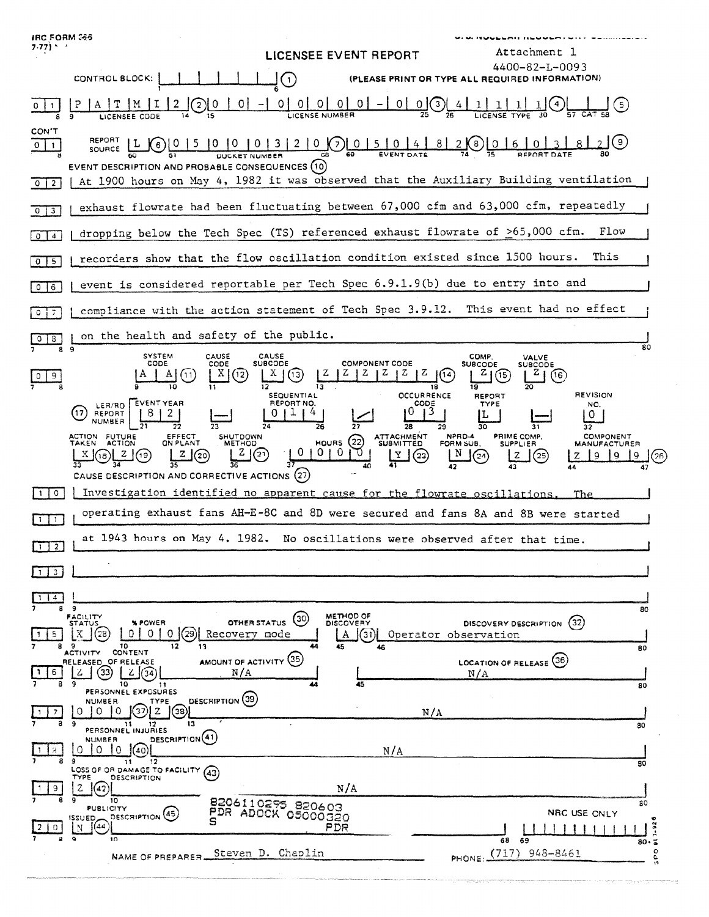| <b>IRC FORM 366</b><br>$7.77$ ) $^{\circ}$ $^{\circ}$ | .<br>Attachment 1<br>LICENSEE EVENT REPORT                                                                                                                                                                                                                                                                                                                                                                                                                                                                                                                                                                                                                                                            |
|-------------------------------------------------------|-------------------------------------------------------------------------------------------------------------------------------------------------------------------------------------------------------------------------------------------------------------------------------------------------------------------------------------------------------------------------------------------------------------------------------------------------------------------------------------------------------------------------------------------------------------------------------------------------------------------------------------------------------------------------------------------------------|
|                                                       | 4400-82-L-0093<br>CONTROL BLOCK:<br>$(\cdot)$<br>(PLEASE PRINT OR TYPE ALL REQUIRED INFORMATION)                                                                                                                                                                                                                                                                                                                                                                                                                                                                                                                                                                                                      |
|                                                       | 0 <br>$\circ$<br>$0 0  -  0  0$ (3) 4<br>0 <sup>1</sup><br>$\mathbf{1}$<br>〔5〕<br>$\mathbf{2}$                                                                                                                                                                                                                                                                                                                                                                                                                                                                                                                                                                                                        |
| CON'T<br>$0$   1<br>$\overline{2}$<br>$^{\circ}$      | REPORT<br>$10 10 10 13 12 10 0$<br>82(8)06<br>$\epsilon$<br>SOURCE<br>EVENT DESCRIPTION AND PROBABLE CONSEQUENCES (10)<br>At 1900 hours on May 4, 1982 it was observed that the Auxiliary Building ventilation                                                                                                                                                                                                                                                                                                                                                                                                                                                                                        |
|                                                       | exhaust flowrate had been fluctuating between 67,000 cfm and 63,000 cfm, repeatedly                                                                                                                                                                                                                                                                                                                                                                                                                                                                                                                                                                                                                   |
| $3^-$<br>$\mathbf{0}$                                 | Flow<br>dropping below the Tech Spec (TS) referenced exhaust flowrate of >65,000 cfm.                                                                                                                                                                                                                                                                                                                                                                                                                                                                                                                                                                                                                 |
| $\overline{4}$<br>0<br>-5                             | This<br>recorders show that the flow oscillation condition existed since 1500 hours.                                                                                                                                                                                                                                                                                                                                                                                                                                                                                                                                                                                                                  |
| $\circ$<br>0                                          | event is considered reportable per Tech Spec 6.9.1.9(b) due to entry into and                                                                                                                                                                                                                                                                                                                                                                                                                                                                                                                                                                                                                         |
| 6<br>7                                                | compliance with the action statement of Tech Spec 3.9.12. This event had no effect                                                                                                                                                                                                                                                                                                                                                                                                                                                                                                                                                                                                                    |
| 0.<br>8                                               | on the health and safety of the public.                                                                                                                                                                                                                                                                                                                                                                                                                                                                                                                                                                                                                                                               |
|                                                       | <b>OCCURRENCE</b><br><b>REVISION</b><br><b>SEQUENTIAL</b><br>REPORT<br><b>EVENT YEAR</b><br>REPORT NO.<br>CODE<br>TYPE<br>LER/RO  <br>NO.<br>13<br>O<br>17<br>REPORT<br>0.<br><b>NUMBER</b><br>28<br>29<br>26<br>30<br>32<br>ATTACHMENT<br>SUBMITTED<br>NPRD-4<br>ACTION FUTURE<br>PRIME COMP.<br>COMPONENT<br>EFFECT<br>ON PLANT<br>SHUTDOWN<br>METHOD<br>HOUNS(22)<br>TAKEN ACTION<br>FORM SUB.<br><b>SUPPLIER</b><br><b>MANUFACTURER</b><br>0.<br>0<br>-0<br>z<br>N<br>2(19)<br>Z(20)<br>(21<br>$X(\mathfrak{g})$<br>$Y \mid (23)$<br>z<br>(25<br>(2a)<br>q<br>-9<br>z<br>۹<br>33<br>$-$ 34<br>35<br>36<br>37<br>41<br>40<br>42<br>43<br>44<br>47<br>CAUSE DESCRIPTION AND CORRECTIVE ACTIONS (27) |
| $\circ$<br>$\mathbf{1}$                               | Investigation identified no apparent cause for the flowrate oscillations.<br>The.                                                                                                                                                                                                                                                                                                                                                                                                                                                                                                                                                                                                                     |
| 1                                                     | operating exhaust fans AH-E-8C and 8D were secured and fans 8A and 8B were started                                                                                                                                                                                                                                                                                                                                                                                                                                                                                                                                                                                                                    |
| $1$   2                                               | at 1943 hours on May 4, 1982. No oscillations were observed after that time.                                                                                                                                                                                                                                                                                                                                                                                                                                                                                                                                                                                                                          |
| 1 3                                                   |                                                                                                                                                                                                                                                                                                                                                                                                                                                                                                                                                                                                                                                                                                       |
| 114<br>8.<br>5.                                       | <b>q</b><br>80<br>METHOD OF<br>FACILITY<br>STATUS<br>(30)<br>OTHER STATUS<br>(32)<br><b>% POWER</b><br><b>DISCOVERY</b><br><b>DISCOVERY DESCRIPTION</b><br>$0$ (29) Recovery mode<br>01<br>0 <sup>1</sup><br>(31) <br>Operator observation<br>A<br>12<br>44                                                                                                                                                                                                                                                                                                                                                                                                                                           |
| 89<br>6                                               | 10<br>13<br>45<br>46<br>80<br>CONTENT<br><b>ACTIVITY</b><br>AMOUNT OF ACTIVITY (35)<br>LOCATION OF RELEASE (36)<br>RELEASED OF RELEASE<br>33)<br>N/A<br>Z<br>N/A<br>10<br>45<br>80<br>11<br>PERSONNEL EXPOSURES                                                                                                                                                                                                                                                                                                                                                                                                                                                                                       |
|                                                       | DESCRIPTION (39)<br><b>NUMBER</b><br>TYPE<br>37)J Z<br>$\Omega$<br>O.<br>10<br>(38)<br>N/A<br>13<br>9<br>$\overline{\mathbf{11}}$<br>80<br>PERSONNEL INJURIES                                                                                                                                                                                                                                                                                                                                                                                                                                                                                                                                         |
|                                                       | DESCRIPTION <sup>(41)</sup><br><b>NUMBER</b><br>$\Omega$<br>10.<br>(40)<br>0<br>N/A<br>12<br>11<br>80                                                                                                                                                                                                                                                                                                                                                                                                                                                                                                                                                                                                 |
| 9.                                                    | LOSS OF OR DAMAGE TO FACILITY (43)<br>TYPE<br><b>DESCRIPTION</b><br>N/A<br>z<br>(42)<br>10<br>8206110295 820603<br>80<br>PUBLICITY<br>PDR ADOCK 05000320<br>NRC USE ONLY<br>DESCRIPTION (45)                                                                                                                                                                                                                                                                                                                                                                                                                                                                                                          |
| $\circ$                                               | <b>ISSUED</b><br>(44)<br>PDR<br>Ν                                                                                                                                                                                                                                                                                                                                                                                                                                                                                                                                                                                                                                                                     |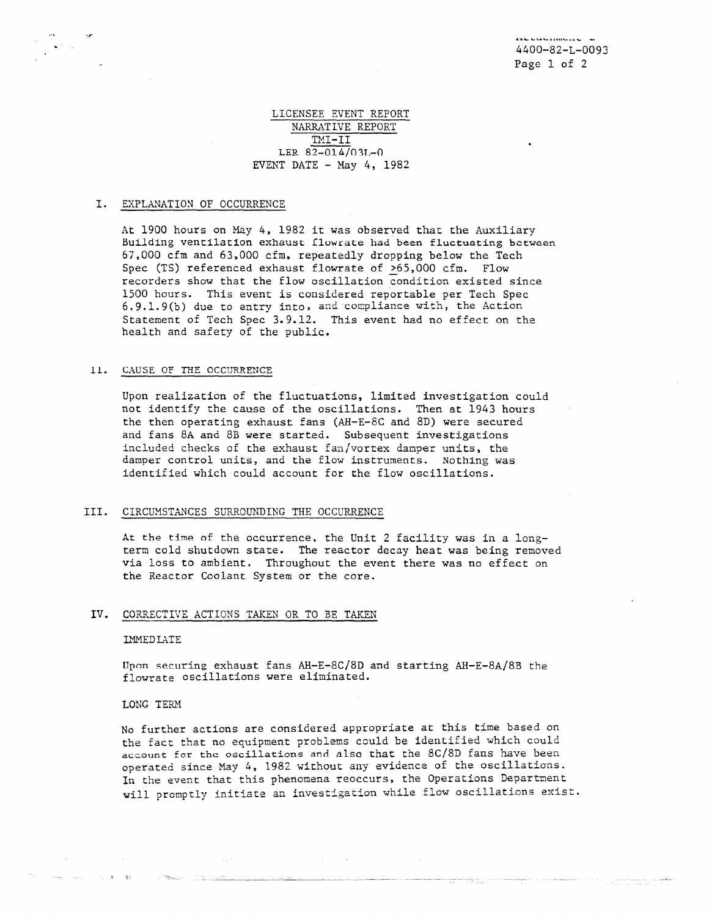# LICENSEE EVENT REPORT NARRATIVE REPORT TMI-II LER  $82-014/031-0$ EVENT DATE  $-$  May 4, 1982

## I. EXPLANATION OF OCCURRENCE

At 1900 hours on May 4, 1982 it was observed that the Auxiliary Building ventilation exhaust flowrate had been fluctuating between 67,000 cfm and 63,000 cfm, repeatedly dropping below the Tech Spec (TS) referenced exhaust flowrate of >65,000 cfm. Flow recorders show that the flow oscillation condition existed since 1500 hours. This event is considered reportable per Tech Spec 6.9.1.9(b) due to entry into, and compliance with, the Action Statement of Tech Spec 3.9.12. This event had no effect on the health and safety of the public.

## li. CAUSE OF THE OCCURRENCE

Upon realization of the fluctuations, limited investigation could not identify the cause of the oscillations. Then at 1943 hours the then operating exhaust fans (AH-E-8C and 8D) were secured and fans 8A and 8B were started. Subsequent investigations included checks of the exhaust fan/vortex damper units, the damper control units, and the flow instruments. Nothing was identified which could account for the flow oscillations.

## III. CIRCUMSTANCES SURROUNDING THE OCCURRENCE

At the time of the occurrence, the Unit 2 facility was in a longterm cold shutdown state. The reactor decay heat was being removed via loss to ambient. Throughout the event there was no effect on the Reactor Coolant System or the core.

## IV. CORRECTIVE ACTIONS TAKEN CR TO BE TAKEN

#### IMMEDIATE

Upnn securing exhaust fans AH-E-8C/8D and starting AH-E-8A/8B the flowrate oscillations were eliminated.

#### LONG TERM

 $\mathcal{C}(\mathcal{E}_k)$  ,  $\mathbf{X}^{(k)}$ 借款

No further actions are considered appropriate at this time based on the fact that no equipment problems could be identified which could account for the oscillations ard also that the 8C/8D fans have been operated since May 4, 1982 without any evidence of the oscillations. In the event that this phenomena reoccurs, the Operations Department will promptly initiate an investigation while flow oscillations exist.

 $\sim 10^{11}$